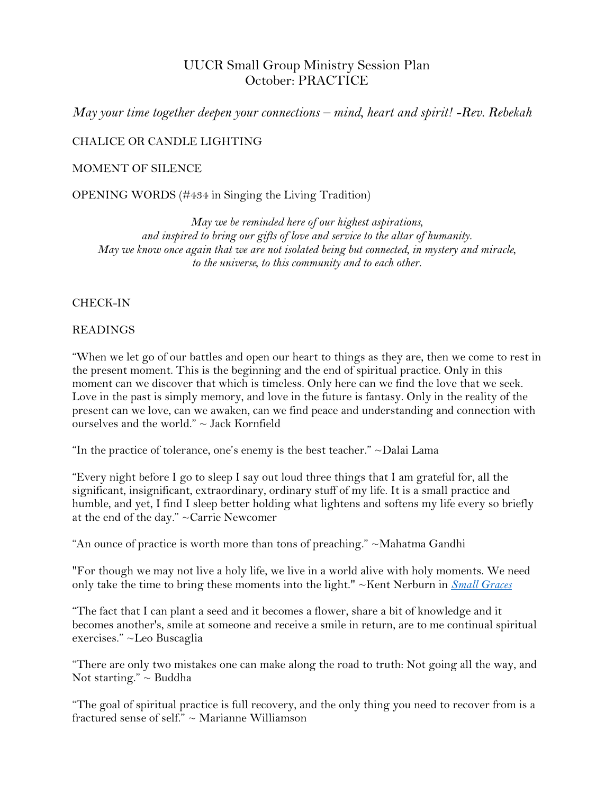# UUCR Small Group Ministry Session Plan October: PRACTICE

*May your time together deepen your connections – mind, heart and spirit! -Rev. Rebekah*

CHALICE OR CANDLE LIGHTING

### MOMENT OF SILENCE

OPENING WORDS (#434 in Singing the Living Tradition)

*May we be reminded here of our highest aspirations, and inspired to bring our gifts of love and service to the altar of humanity. May we know once again that we are not isolated being but connected, in mystery and miracle, to the universe, to this community and to each other.* 

### CHECK-IN

#### READINGS

"When we let go of our battles and open our heart to things as they are, then we come to rest in the present moment. This is the beginning and the end of spiritual practice. Only in this moment can we discover that which is timeless. Only here can we find the love that we seek. Love in the past is simply memory, and love in the future is fantasy. Only in the reality of the present can we love, can we awaken, can we find peace and understanding and connection with ourselves and the world." ~ Jack Kornfield

"In the practice of tolerance, one's enemy is the best teacher."  $\sim$ Dalai Lama

"Every night before I go to sleep I say out loud three things that I am grateful for, all the significant, insignificant, extraordinary, ordinary stuff of my life. It is a small practice and humble, and yet, I find I sleep better holding what lightens and softens my life every so briefly at the end of the day." [~Carrie Newcomer](https://www.goodreads.com/author/show/6922029.Carrie_Newcomer)

"An ounce of practice is worth more than tons of preaching." ~Mahatma Gandhi

"For though we may not live a holy life, we live in a world alive with holy moments. We need only take the time to bring these moments into the light." ~Kent Nerburn in *[Small Graces](http://www.spiritualityandpractice.com/book-reviews/view/2536/small-graces)*

"The fact that I can plant a seed and it becomes a flower, share a bit of knowledge and it becomes another's, smile at someone and receive a smile in return, are to me continual spiritual exercises." ~Leo Buscaglia

"There are only two mistakes one can make along the road to truth: Not going all the way, and Not starting."  $\sim$  Buddha

"The goal of spiritual practice is full recovery, and the only thing you need to recover from is a fractured sense of self."  $\sim$  Marianne Williamson